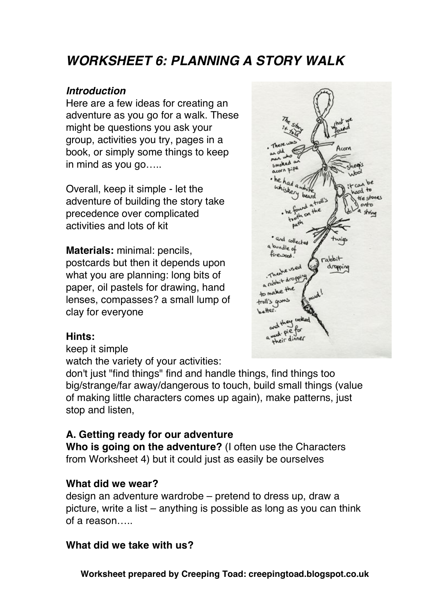# *WORKSHEET 6: PLANNING A STORY WALK*

#### *Introduction*

Here are a few ideas for creating an adventure as you go for a walk. These might be questions you ask your group, activities you try, pages in a book, or simply some things to keep in mind as you go…..

Overall, keep it simple - let the adventure of building the story take precedence over complicated activities and lots of kit

**Materials:** minimal: pencils, postcards but then it depends upon what you are planning: long bits of paper, oil pastels for drawing, hand lenses, compasses? a small lump of clay for everyone



#### **Hints:**

keep it simple

watch the variety of your activities:

don't just "find things" find and handle things, find things too big/strange/far away/dangerous to touch, build small things (value of making little characters comes up again), make patterns, just stop and listen,

## **A. Getting ready for our adventure**

**Who is going on the adventure?** (I often use the Characters from Worksheet 4) but it could just as easily be ourselves

#### **What did we wear?**

design an adventure wardrobe – pretend to dress up, draw a picture, write a list – anything is possible as long as you can think of a reason…..

## **What did we take with us?**

**Worksheet prepared by Creeping Toad: creepingtoad.blogspot.co.uk**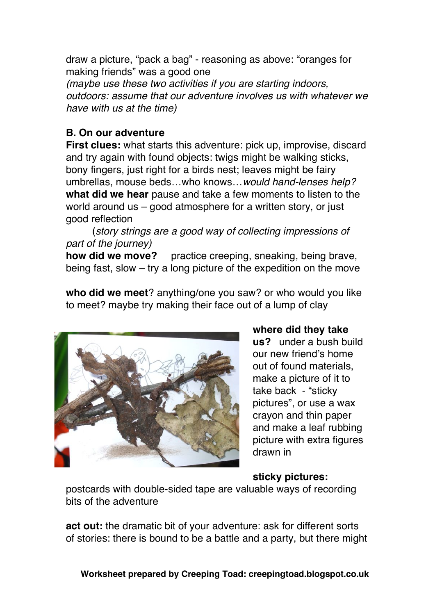draw a picture, "pack a bag" - reasoning as above: "oranges for making friends" was a good one *(maybe use these two activities if you are starting indoors, outdoors: assume that our adventure involves us with whatever we have with us at the time)*

## **B. On our adventure**

**First clues:** what starts this adventure: pick up, improvise, discard and try again with found objects: twigs might be walking sticks, bony fingers, just right for a birds nest; leaves might be fairy umbrellas, mouse beds…who knows…*would hand-lenses help?* **what did we hear** pause and take a few moments to listen to the world around us – good atmosphere for a written story, or just good reflection

(*story strings are a good way of collecting impressions of part of the journey)*

**how did we move?** practice creeping, sneaking, being brave, being fast, slow – try a long picture of the expedition on the move

**who did we meet**? anything/one you saw? or who would you like to meet? maybe try making their face out of a lump of clay



**where did they take us?** under a bush build our new friend's home out of found materials, make a picture of it to take back - "sticky pictures", or use a wax crayon and thin paper and make a leaf rubbing picture with extra figures drawn in

# **sticky pictures:**

postcards with double-sided tape are valuable ways of recording bits of the adventure

**act out:** the dramatic bit of your adventure: ask for different sorts of stories: there is bound to be a battle and a party, but there might